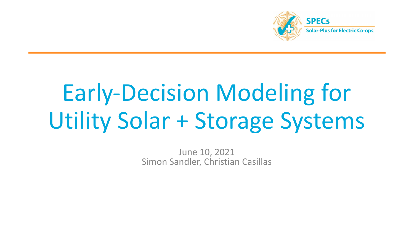

# Early-Decision Modeling for Utility Solar + Storage Systems

June 10, 2021 Simon Sandler, Christian Casillas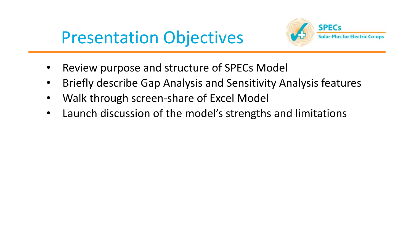## Presentation Objectives



- Review purpose and structure of SPECs Model
- Briefly describe Gap Analysis and Sensitivity Analysis features
- Walk through screen-share of Excel Model
- Launch discussion of the model's strengths and limitations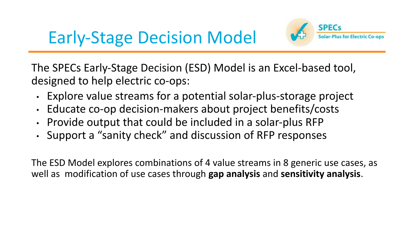



The SPECs Early-Stage Decision (ESD) Model is an Excel-based tool, designed to help electric co-ops:

- Explore value streams for a potential solar-plus-storage project
- Educate co-op decision-makers about project benefits/costs
- Provide output that could be included in a solar-plus RFP
- Support a "sanity check" and discussion of RFP responses

The ESD Model explores combinations of 4 value streams in 8 generic use cases, as well as modification of use cases through **gap analysis** and **sensitivity analysis**.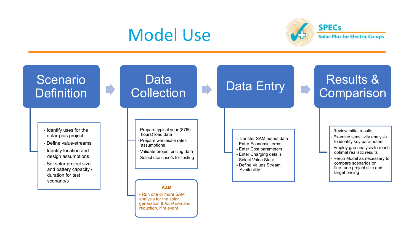#### Model Use



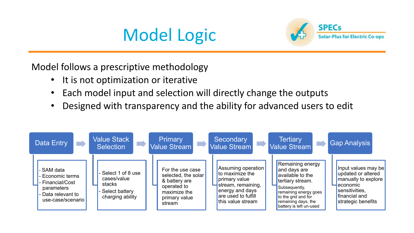# Model Logic



Model follows a prescriptive methodology

- It is not optimization or iterative
- Each model input and selection will directly change the outputs
- Designed with transparency and the ability for advanced users to edit